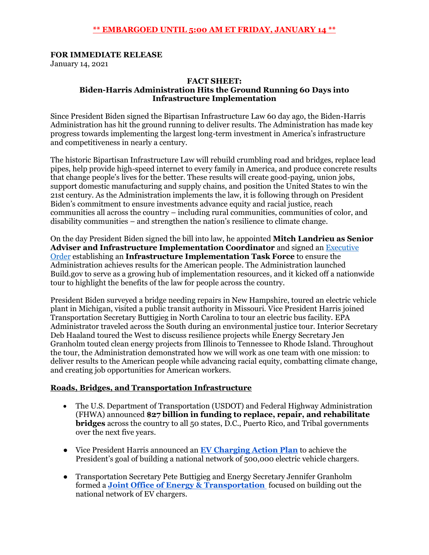### **\*\* EMBARGOED UNTIL 5:00 AM ET FRIDAY, JANUARY 14 \*\***

#### **FOR IMMEDIATE RELEASE**

January 14, 2021

#### **FACT SHEET: Biden-Harris Administration Hits the Ground Running 60 Days into Infrastructure Implementation**

Since President Biden signed the Bipartisan Infrastructure Law 60 day ago, the Biden-Harris Administration has hit the ground running to deliver results. The Administration has made key progress towards implementing the largest long-term investment in America's infrastructure and competitiveness in nearly a century.

The historic Bipartisan Infrastructure Law will rebuild crumbling road and bridges, replace lead pipes, help provide high-speed internet to every family in America, and produce concrete results that change people's lives for the better. These results will create good-paying, union jobs, support domestic manufacturing and supply chains, and position the United States to win the 21st century. As the Administration implements the law, it is following through on President Biden's commitment to ensure investments advance equity and racial justice, reach communities all across the country – including rural communities, communities of color, and disability communities – and strengthen the nation's resilience to climate change.

On the day President Biden signed the bill into law, he appointed **Mitch Landrieu as Senior Adviser and Infrastructure Implementation Coordinator** and signed an [Executive](https://www.whitehouse.gov/briefing-room/statements-releases/2021/11/15/fact-sheet-president-bidens-executive-order-establishing-priorities-and-task-force-for-implementation-of-the-bipartisan-infrastructure-law/)  [Order](https://www.whitehouse.gov/briefing-room/statements-releases/2021/11/15/fact-sheet-president-bidens-executive-order-establishing-priorities-and-task-force-for-implementation-of-the-bipartisan-infrastructure-law/) establishing an **Infrastructure Implementation Task Force** to ensure the Administration achieves results for the American people. The Administration launched Build.gov to serve as a growing hub of implementation resources, and it kicked off a nationwide tour to highlight the benefits of the law for people across the country.

President Biden surveyed a bridge needing repairs in New Hampshire, toured an electric vehicle plant in Michigan, visited a public transit authority in Missouri. Vice President Harris joined Transportation Secretary Buttigieg in North Carolina to tour an electric bus facility. EPA Administrator traveled across the South during an environmental justice tour. Interior Secretary Deb Haaland toured the West to discuss resilience projects while Energy Secretary Jen Granholm touted clean energy projects from Illinois to Tennessee to Rhode Island. Throughout the tour, the Administration demonstrated how we will work as one team with one mission: to deliver results to the American people while advancing racial equity, combatting climate change, and creating job opportunities for American workers.

#### **Roads, Bridges, and Transportation Infrastructure**

- The U.S. Department of Transportation (USDOT) and Federal Highway Administration (FHWA) announced **\$27 billion in funding to replace, repair, and rehabilitate bridges** across the country to all 50 states, D.C., Puerto Rico, and Tribal governments over the next five years.
- Vice President Harris announced an **[EV Charging Action Plan](https://www.whitehouse.gov/briefing-room/statements-releases/2021/12/13/fact-sheet-the-biden-harris-electric-vehicle-charging-action-plan/)** to achieve the President's goal of building a national network of 500,000 electric vehicle chargers.
- Transportation Secretary Pete Buttigieg and Energy Secretary Jennifer Granholm formed a **[Joint Office of Energy & Transportation](https://www.transportation.gov/briefing-room/doe-and-dot-launch-joint-effort-build-out-nationwide-electric-vehicle-charging)** focused on building out the national network of EV chargers.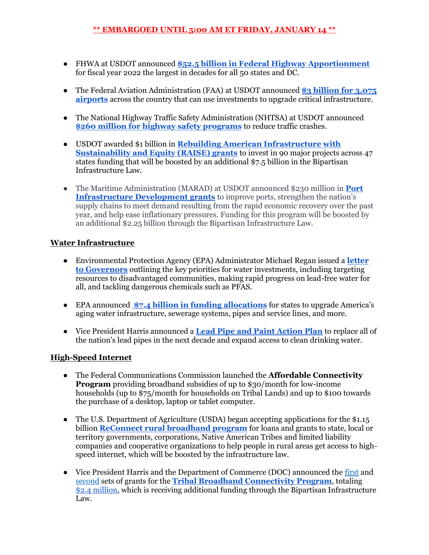- FHWA at USDOT announced **[\\$52.5 billion in Federal Highway Apportionment](https://www.transportation.gov/briefing-room/fhwa-delivers-largest-federal-highway-apportionment-decades-part-bipartisan)** for fiscal year 2022 the largest in decades for all 50 states and DC.
- The Federal Aviation Administration (FAA) at USDOT announced **[\\$3 billion for 3,075](https://www.faa.gov/newsroom/faa-announces-first-year-airport-funding-amounts-bipartisan-infrastructure-law)  [airports](https://www.faa.gov/newsroom/faa-announces-first-year-airport-funding-amounts-bipartisan-infrastructure-law)** across the country that can use investments to upgrade critical infrastructure.
- The National Highway Traffic Safety Administration (NHTSA) at USDOT announced **[\\$260 million for highway safety programs](https://www.transportation.gov/briefing-room/nhtsa-announces-260-million-grants-highway-safety-programs-made-possible-bipartisan)** to reduce traffic crashes.
- USDOT awarded \$1 billion in **[Rebuilding American Infrastructure with](https://www.transportation.gov/briefing-room/us-secretary-transportation-buttigieg-announces-nearly-1-billion-grant-awards)  [Sustainability and Equity \(RAISE\) grants](https://www.transportation.gov/briefing-room/us-secretary-transportation-buttigieg-announces-nearly-1-billion-grant-awards)** to invest in 90 major projects across 47 states funding that will be boosted by an additional \$7.5 billion in the Bipartisan Infrastructure Law.
- The Maritime Administration (MARAD) at USDOT announced \$230 million in **[Port](https://www.transportation.gov/briefing-room/us-transportation-secretary-pete-buttigieg-announces-over-241-million-grants-americas)  [Infrastructure Development grants](https://www.transportation.gov/briefing-room/us-transportation-secretary-pete-buttigieg-announces-over-241-million-grants-americas)** to improve ports, strengthen the nation's supply chains to meet demand resulting from the rapid economic recovery over the past year, and help ease inflationary pressures. Funding for this program will be boosted by an additional \$2.25 billion through the Bipartisan Infrastructure Law.

### **Water Infrastructure**

- Environmental Protection Agency (EPA) Administrator Michael Regan issued a **[letter](https://www.epa.gov/system/files/documents/2021-12/governors-bil-letter-final-508.pdf)  [to Governors](https://www.epa.gov/system/files/documents/2021-12/governors-bil-letter-final-508.pdf)** outlining the key priorities for water investments, including targeting resources to disadvantaged communities, making rapid progress on lead-free water for all, and tackling dangerous chemicals such as PFAS.
- EPA announced**[\\$7.4 billion in funding allocations](https://www.epa.gov/newsreleases/epa-announces-water-infrastructure-funding-states-through-bipartisan-infrastructure#:~:text=EPA%20will%20allocate%20%247.4%20billion,America%20and%20in%20urban%20centers.)** for states to upgrade America's aging water infrastructure, sewerage systems, pipes and service lines, and more.
- Vice President Harris announced a **[Lead Pipe and Paint Action Plan](https://www.whitehouse.gov/briefing-room/statements-releases/2021/12/16/fact-sheet-the-biden-harris-lead-pipe-and-paint-action-plan/)** to replace all of the nation's lead pipes in the next decade and expand access to clean drinking water.

# **High-Speed Internet**

- The Federal Communications Commission launched the **Affordable Connectivity Program** providing broadband subsidies of up to \$30/month for low-income households (up to \$75/month for households on Tribal Lands) and up to \$100 towards the purchase of a desktop, laptop or tablet computer.
- The U.S. Department of Agriculture (USDA) began accepting applications for the \$1.15 billion **[ReConnect rural broadband program](https://www.usda.gov/media/press-releases/2021/11/24/usda-begins-accepting-applications-115-billion-loans-and-grants)** for loans and grants to state, local or territory governments, corporations, Native American Tribes and limited liability companies and cooperative organizations to help people in rural areas get access to highspeed internet, which will be boosted by the infrastructure law.
- Vice President Harris and the Department of Commerce (DOC) announced the [first](https://www.ntia.doc.gov/press-release/2021/department-commerce-s-ntia-awards-first-grants-tribal-groups-seeking-expand) and [second](https://www.ntia.doc.gov/press-release/2021/department-commerce-s-ntia-awards-additional-1m-grants-tribal-groups-seeking) sets of grants for the **[Tribal Broadband Connectivity Program](https://www.commerce.gov/news/press-releases/2021/11/department-commerces-ntia-awards-first-grants-tribal-groups-seeking)**, totaling \$2.4 [million,](https://www.commerce.gov/news/press-releases/2021/12/commerce-awards-42-million-expand-broadband-tribal-communities-arizona) which is receiving additional funding through the Bipartisan Infrastructure Law.